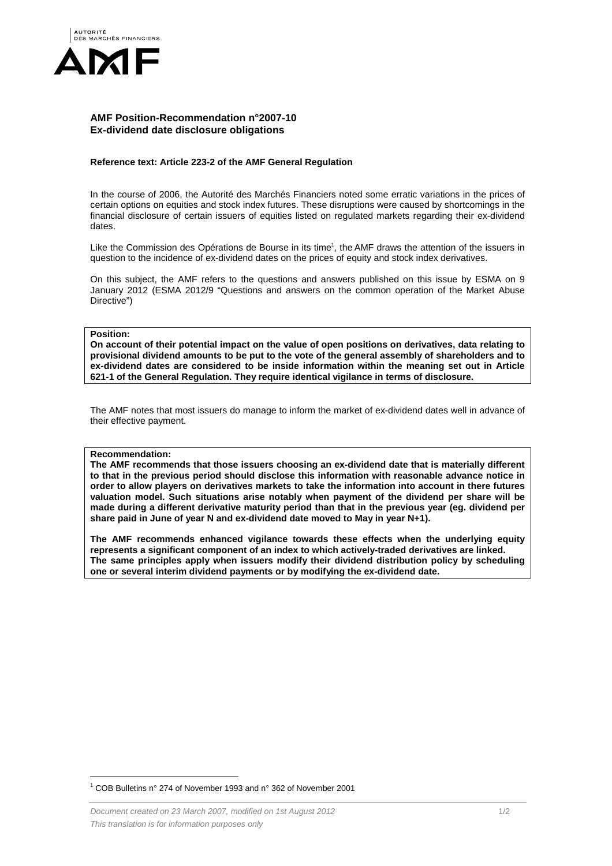

# **AMF Position-Recommendation n°2007-10 Ex-dividend date disclosure obligations**

### **Reference text: Article 223-2 of the AMF General Regulation**

In the course of 2006, the Autorité des Marchés Financiers noted some erratic variations in the prices of certain options on equities and stock index futures. These disruptions were caused by shortcomings in the financial disclosure of certain issuers of equities listed on regulated markets regarding their ex-dividend dates.

Like the Commission des Opérations de Bourse in its time<sup>1</sup>, the AMF draws the attention of the issuers in question to the incidence of ex-dividend dates on the prices of equity and stock index derivatives.

On this subject, the AMF refers to the questions and answers published on this issue by ESMA on 9 January 2012 (ESMA 2012/9 "Questions and answers on the common operation of the Market Abuse Directive")

# **Position:**

**On account of their potential impact on the value of open positions on derivatives, data relating to provisional dividend amounts to be put to the vote of the general assembly of shareholders and to ex-dividend dates are considered to be inside information within the meaning set out in Article 621-1 of the General Regulation. They require identical vigilance in terms of disclosure.** 

The AMF notes that most issuers do manage to inform the market of ex-dividend dates well in advance of their effective payment.

#### **Recommendation:**

 $\overline{a}$ 

**The AMF recommends that those issuers choosing an ex-dividend date that is materially different to that in the previous period should disclose this information with reasonable advance notice in order to allow players on derivatives markets to take the information into account in there futures valuation model. Such situations arise notably when payment of the dividend per share will be made during a different derivative maturity period than that in the previous year (eg. dividend per share paid in June of year N and ex-dividend date moved to May in year N+1).** 

**The AMF recommends enhanced vigilance towards these effects when the underlying equity represents a significant component of an index to which actively-traded derivatives are linked. The same principles apply when issuers modify their dividend distribution policy by scheduling one or several interim dividend payments or by modifying the ex-dividend date.** 

<sup>&</sup>lt;sup>1</sup> COB Bulletins n° 274 of November 1993 and n° 362 of November 2001